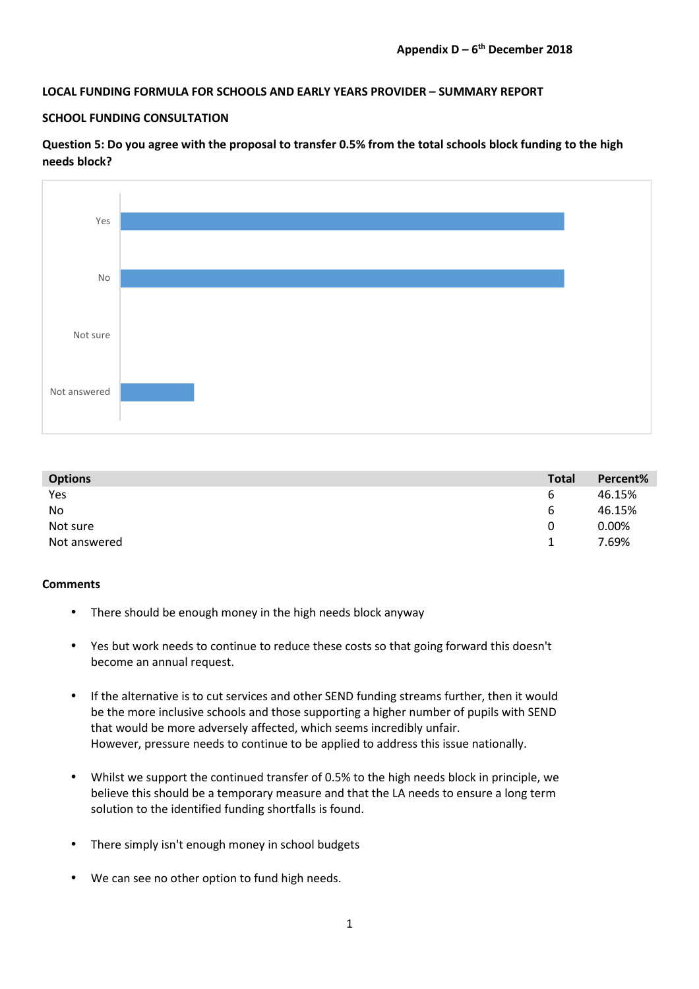## **LOCAL FUNDING FORMULA FOR SCHOOLS AND EARLY YEARS PROVIDER – SUMMARY REPORT**

### **SCHOOL FUNDING CONSULTATION**

**Question 5: Do you agree with the proposal to transfer 0.5% from the total schools block funding to the high needs block?** 



| <b>Options</b> | <b>Total</b> | Percent% |
|----------------|--------------|----------|
| Yes            | 6            | 46.15%   |
| No             | 6            | 46.15%   |
| Not sure       | 0            | 0.00%    |
| Not answered   |              | 7.69%    |

### **Comments**

- There should be enough money in the high needs block anyway
- Yes but work needs to continue to reduce these costs so that going forward this doesn't become an annual request.
- If the alternative is to cut services and other SEND funding streams further, then it would be the more inclusive schools and those supporting a higher number of pupils with SEND that would be more adversely affected, which seems incredibly unfair. However, pressure needs to continue to be applied to address this issue nationally.
- Whilst we support the continued transfer of 0.5% to the high needs block in principle, we believe this should be a temporary measure and that the LA needs to ensure a long term solution to the identified funding shortfalls is found.
- There simply isn't enough money in school budgets
- We can see no other option to fund high needs.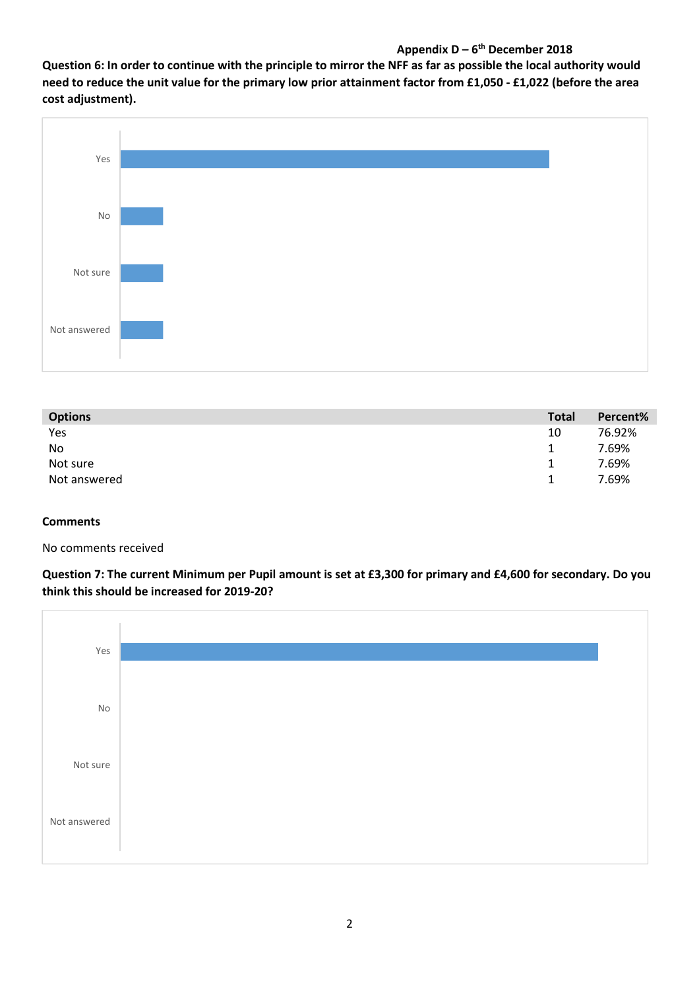# **Appendix D – 6th December 2018**

**Question 6: In order to continue with the principle to mirror the NFF as far as possible the local authority would need to reduce the unit value for the primary low prior attainment factor from £1,050 - £1,022 (before the area cost adjustment).** 



| <b>Options</b> | <b>Total</b> | Percent% |
|----------------|--------------|----------|
| Yes            | 10           | 76.92%   |
| No             | 1            | 7.69%    |
| Not sure       | 1            | 7.69%    |
| Not answered   | 1.           | 7.69%    |

## **Comments**

No comments received

**Question 7: The current Minimum per Pupil amount is set at £3,300 for primary and £4,600 for secondary. Do you think this should be increased for 2019-20?** 

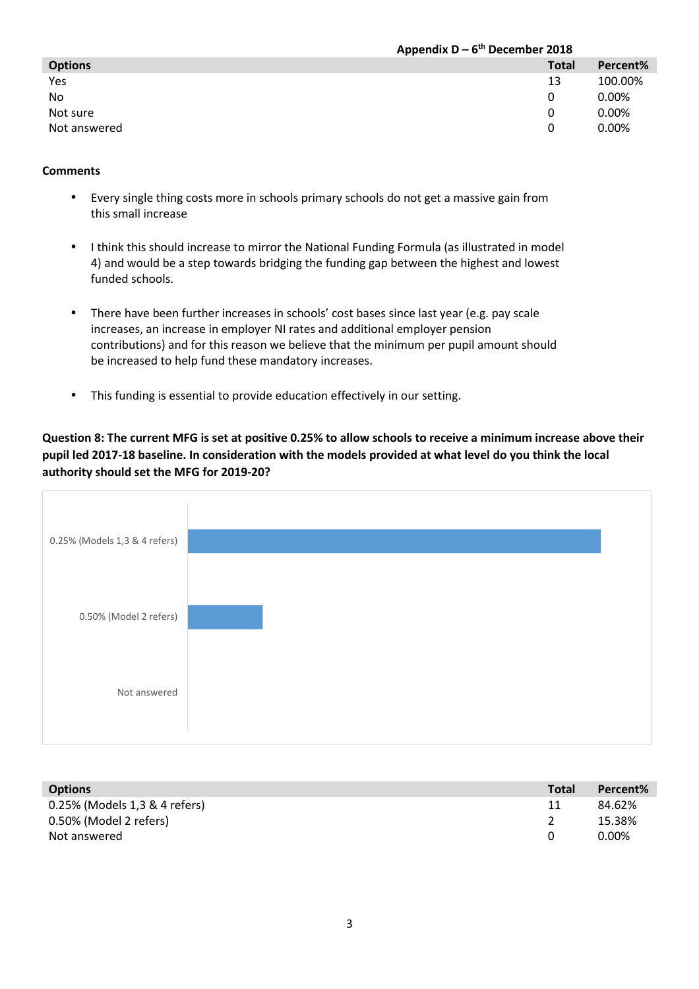|                | Appendix $D - 6^{th}$ December 2018 |          |  |
|----------------|-------------------------------------|----------|--|
| <b>Options</b> | <b>Total</b>                        | Percent% |  |
| Yes            | 13                                  | 100.00%  |  |
| N <sub>o</sub> | $\Omega$                            | 0.00%    |  |
| Not sure       | $\Omega$                            | 0.00%    |  |
| Not answered   | 0                                   | $0.00\%$ |  |

## **Comments**

- Every single thing costs more in schools primary schools do not get a massive gain from this small increase
- I think this should increase to mirror the National Funding Formula (as illustrated in model 4) and would be a step towards bridging the funding gap between the highest and lowest funded schools.
- There have been further increases in schools' cost bases since last year (e.g. pay scale increases, an increase in employer NI rates and additional employer pension contributions) and for this reason we believe that the minimum per pupil amount should be increased to help fund these mandatory increases.
- This funding is essential to provide education effectively in our setting.

**Question 8: The current MFG is set at positive 0.25% to allow schools to receive a minimum increase above their pupil led 2017-18 baseline. In consideration with the models provided at what level do you think the local authority should set the MFG for 2019-20?** 



| <b>Options</b>                | <b>Total</b> | Percent% |
|-------------------------------|--------------|----------|
| 0.25% (Models 1,3 & 4 refers) | 11           | 84.62%   |
| 0.50% (Model 2 refers)        |              | 15.38%   |
| Not answered                  |              | 0.00%    |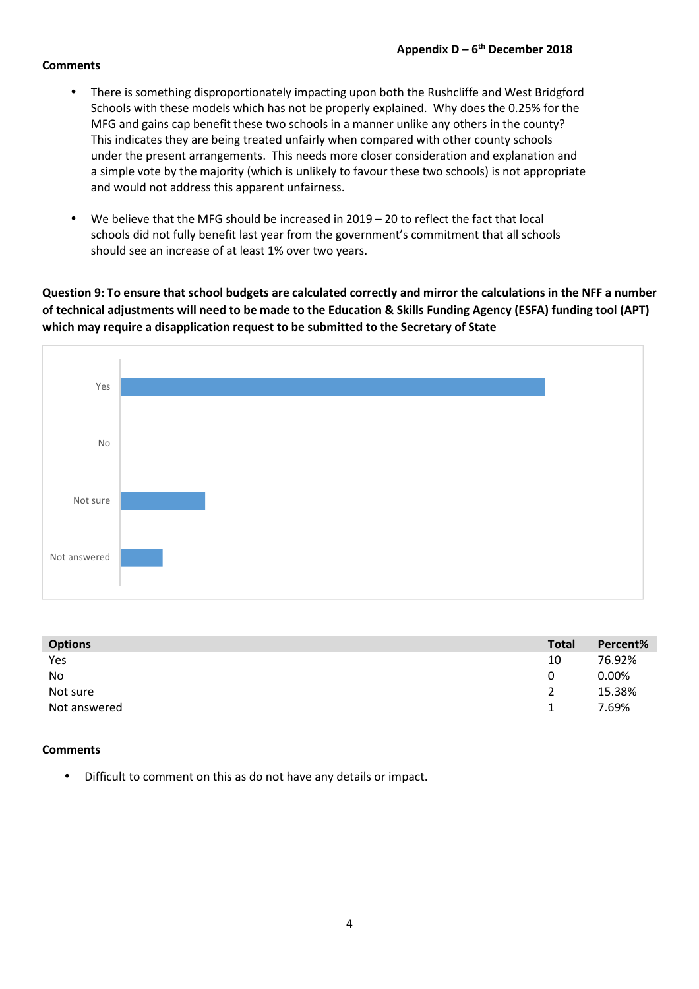### **Comments**

- There is something disproportionately impacting upon both the Rushcliffe and West Bridgford Schools with these models which has not be properly explained. Why does the 0.25% for the MFG and gains cap benefit these two schools in a manner unlike any others in the county? This indicates they are being treated unfairly when compared with other county schools under the present arrangements. This needs more closer consideration and explanation and a simple vote by the majority (which is unlikely to favour these two schools) is not appropriate and would not address this apparent unfairness.
- We believe that the MFG should be increased in 2019 20 to reflect the fact that local schools did not fully benefit last year from the government's commitment that all schools should see an increase of at least 1% over two years.

**Question 9: To ensure that school budgets are calculated correctly and mirror the calculations in the NFF a number of technical adjustments will need to be made to the Education & Skills Funding Agency (ESFA) funding tool (APT) which may require a disapplication request to be submitted to the Secretary of State** 



| <b>Options</b> | <b>Total</b>   | Percent% |
|----------------|----------------|----------|
| Yes            | 10             | 76.92%   |
| No             | 0              | $0.00\%$ |
| Not sure       | $\overline{2}$ | 15.38%   |
| Not answered   | 1.             | 7.69%    |

### **Comments**

• Difficult to comment on this as do not have any details or impact.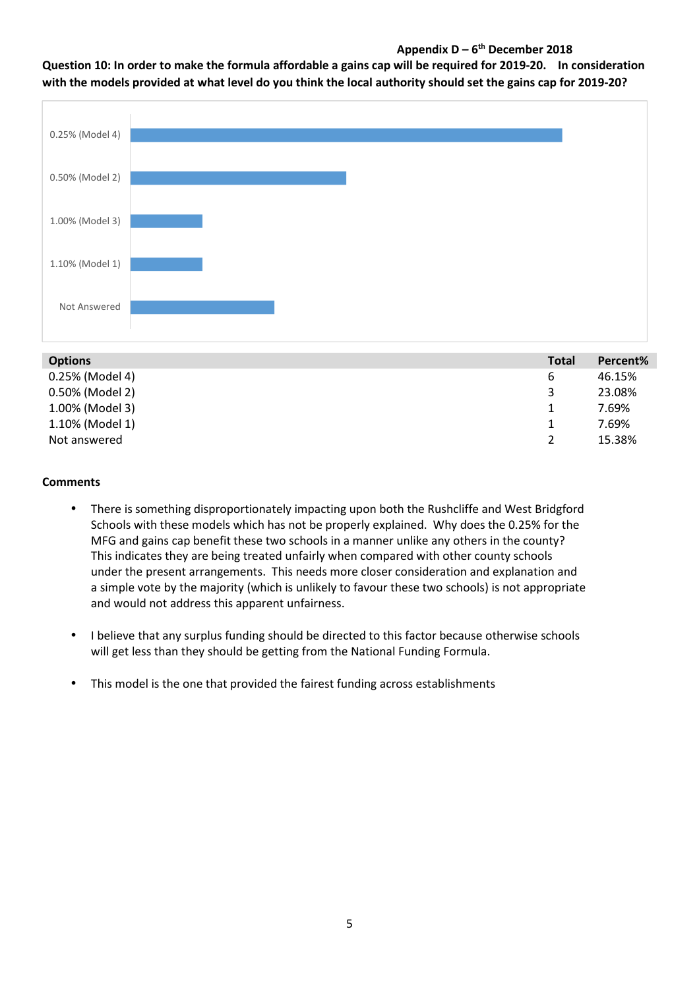# **Appendix D – 6th December 2018**

## **Question 10: In order to make the formula affordable a gains cap will be required for 2019-20. In consideration with the models provided at what level do you think the local authority should set the gains cap for 2019-20?**



| <b>Options</b>  | <b>Total</b> | Percent% |
|-----------------|--------------|----------|
| 0.25% (Model 4) | 6            | 46.15%   |
| 0.50% (Model 2) | 3            | 23.08%   |
| 1.00% (Model 3) |              | 7.69%    |
| 1.10% (Model 1) |              | 7.69%    |
| Not answered    |              | 15.38%   |

## **Comments**

- There is something disproportionately impacting upon both the Rushcliffe and West Bridgford Schools with these models which has not be properly explained. Why does the 0.25% for the MFG and gains cap benefit these two schools in a manner unlike any others in the county? This indicates they are being treated unfairly when compared with other county schools under the present arrangements. This needs more closer consideration and explanation and a simple vote by the majority (which is unlikely to favour these two schools) is not appropriate and would not address this apparent unfairness.
- I believe that any surplus funding should be directed to this factor because otherwise schools will get less than they should be getting from the National Funding Formula.
- This model is the one that provided the fairest funding across establishments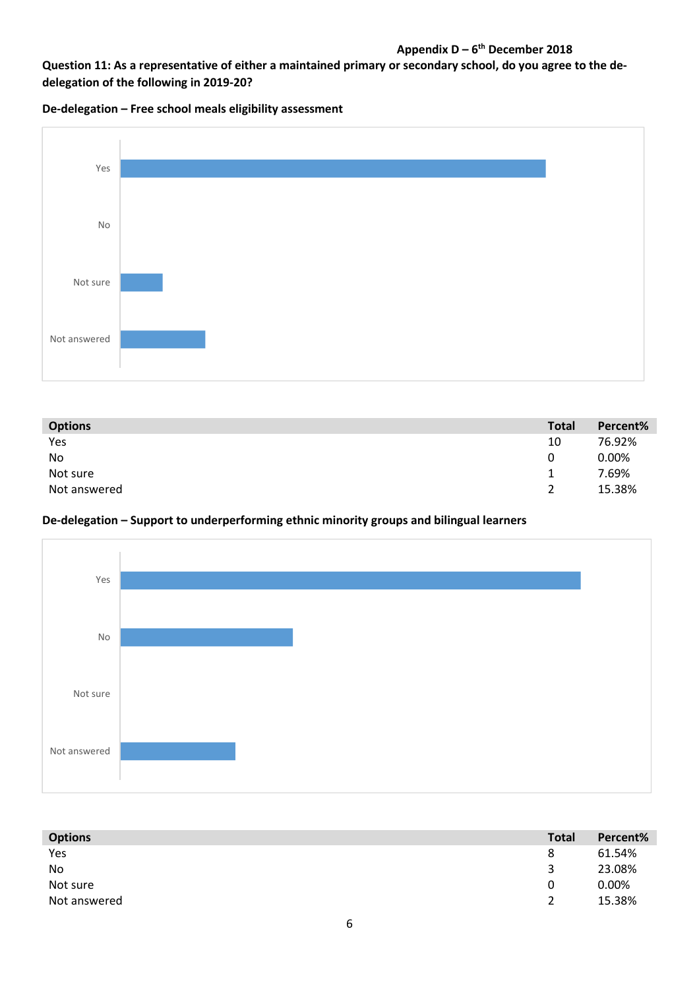# **Appendix D – 6th December 2018**

**Question 11: As a representative of either a maintained primary or secondary school, do you agree to the dedelegation of the following in 2019-20?** 

**De-delegation – Free school meals eligibility assessment** 



| <b>Options</b> | <b>Total</b>  | Percent% |
|----------------|---------------|----------|
| Yes            | 10            | 76.92%   |
| No             | 0             | 0.00%    |
| Not sure       | 1.            | 7.69%    |
| Not answered   | $\mathcal{P}$ | 15.38%   |

## **De-delegation – Support to underperforming ethnic minority groups and bilingual learners**



| <b>Options</b> | <b>Total</b>  | Percent% |
|----------------|---------------|----------|
| Yes            | 8             | 61.54%   |
| No             | ર             | 23.08%   |
| Not sure       | 0             | 0.00%    |
| Not answered   | $\mathcal{P}$ | 15.38%   |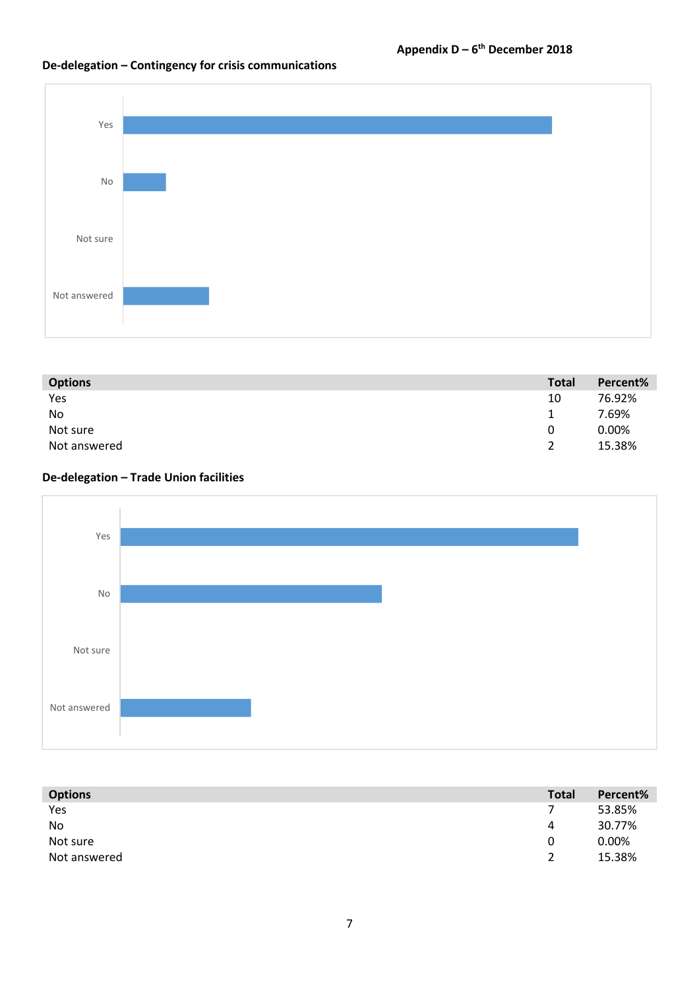# **De-delegation – Contingency for crisis communications**



| <b>Options</b> | <b>Total</b>  | Percent% |
|----------------|---------------|----------|
| Yes            | 10            | 76.92%   |
| No             | 1             | 7.69%    |
| Not sure       | 0             | 0.00%    |
| Not answered   | $\mathcal{D}$ | 15.38%   |

# **De-delegation – Trade Union facilities**



| <b>Options</b> | <b>Total</b>  | Percent% |
|----------------|---------------|----------|
| Yes            |               | 53.85%   |
| No             | 4             | 30.77%   |
| Not sure       | 0             | 0.00%    |
| Not answered   | $\mathcal{D}$ | 15.38%   |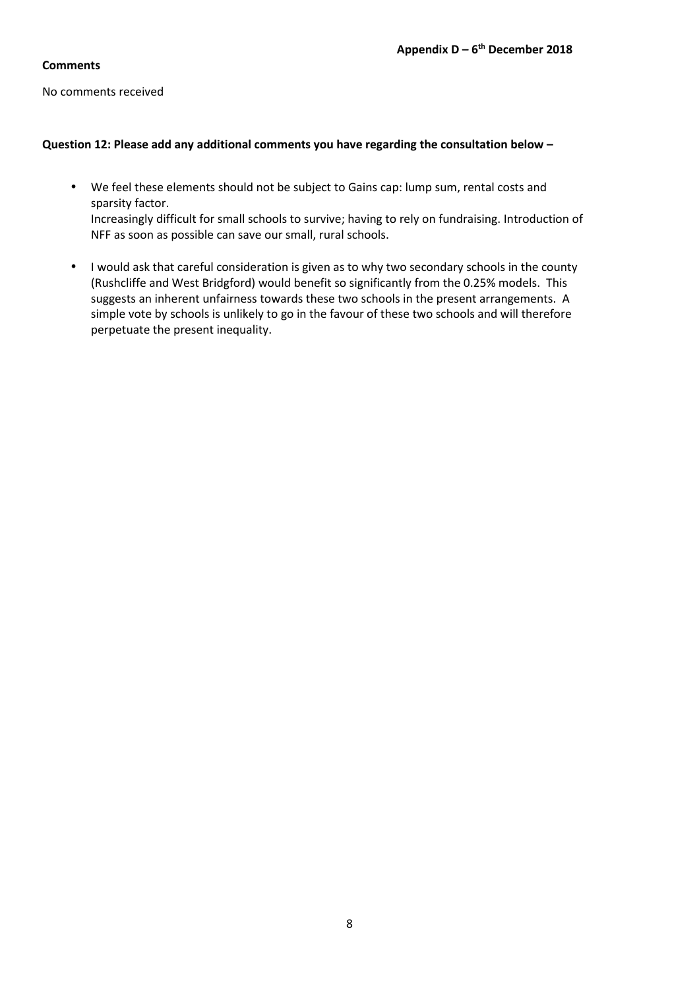### **Comments**

No comments received

## **Question 12: Please add any additional comments you have regarding the consultation below –**

- We feel these elements should not be subject to Gains cap: lump sum, rental costs and sparsity factor. Increasingly difficult for small schools to survive; having to rely on fundraising. Introduction of NFF as soon as possible can save our small, rural schools.
- I would ask that careful consideration is given as to why two secondary schools in the county (Rushcliffe and West Bridgford) would benefit so significantly from the 0.25% models. This suggests an inherent unfairness towards these two schools in the present arrangements. A simple vote by schools is unlikely to go in the favour of these two schools and will therefore perpetuate the present inequality.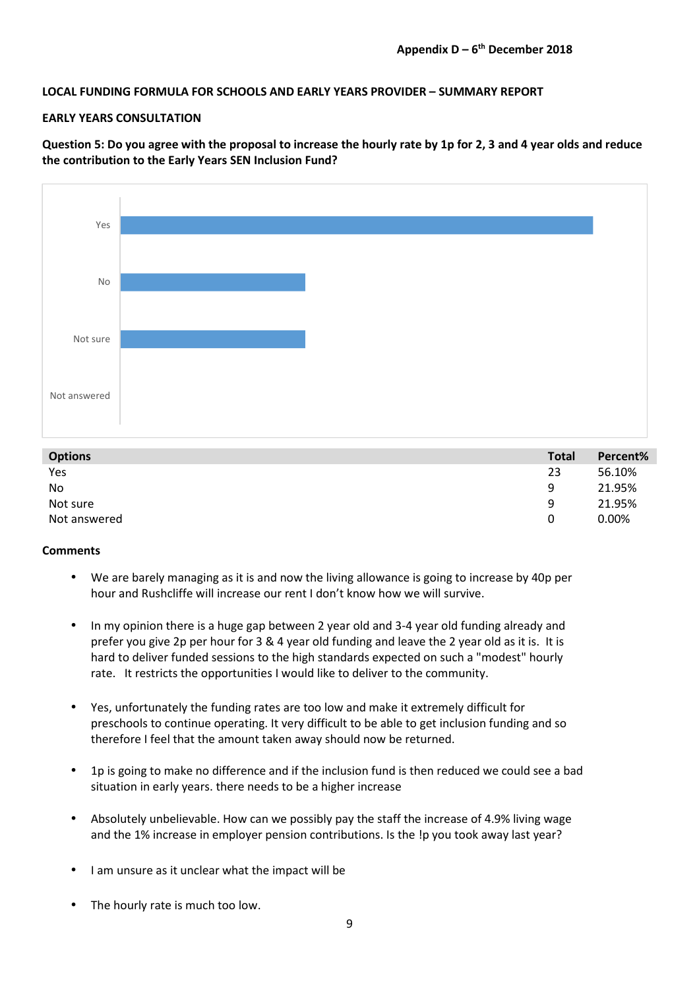## **LOCAL FUNDING FORMULA FOR SCHOOLS AND EARLY YEARS PROVIDER – SUMMARY REPORT**

### **EARLY YEARS CONSULTATION**

**Question 5: Do you agree with the proposal to increase the hourly rate by 1p for 2, 3 and 4 year olds and reduce the contribution to the Early Years SEN Inclusion Fund?** 



| <b>Options</b> | <b>Total</b> | Percent% |
|----------------|--------------|----------|
| Yes            | 23           | 56.10%   |
| No             | Q            | 21.95%   |
| Not sure       | Q            | 21.95%   |
| Not answered   | 0            | 0.00%    |

### **Comments**

- We are barely managing as it is and now the living allowance is going to increase by 40p per hour and Rushcliffe will increase our rent I don't know how we will survive.
- In my opinion there is a huge gap between 2 year old and 3-4 year old funding already and prefer you give 2p per hour for 3 & 4 year old funding and leave the 2 year old as it is. It is hard to deliver funded sessions to the high standards expected on such a "modest" hourly rate. It restricts the opportunities I would like to deliver to the community.
- Yes, unfortunately the funding rates are too low and make it extremely difficult for preschools to continue operating. It very difficult to be able to get inclusion funding and so therefore I feel that the amount taken away should now be returned.
- 1p is going to make no difference and if the inclusion fund is then reduced we could see a bad situation in early years. there needs to be a higher increase
- Absolutely unbelievable. How can we possibly pay the staff the increase of 4.9% living wage and the 1% increase in employer pension contributions. Is the !p you took away last year?
- I am unsure as it unclear what the impact will be
- The hourly rate is much too low.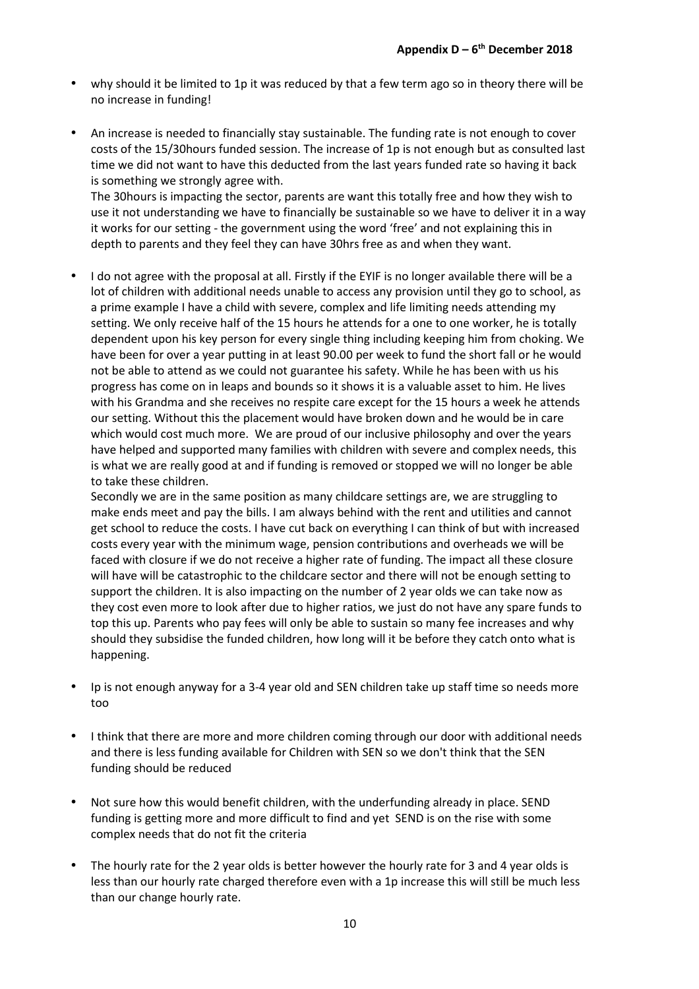- why should it be limited to 1p it was reduced by that a few term ago so in theory there will be no increase in funding!
- An increase is needed to financially stay sustainable. The funding rate is not enough to cover costs of the 15/30hours funded session. The increase of 1p is not enough but as consulted last time we did not want to have this deducted from the last years funded rate so having it back is something we strongly agree with.

The 30hours is impacting the sector, parents are want this totally free and how they wish to use it not understanding we have to financially be sustainable so we have to deliver it in a way it works for our setting - the government using the word 'free' and not explaining this in depth to parents and they feel they can have 30hrs free as and when they want.

• I do not agree with the proposal at all. Firstly if the EYIF is no longer available there will be a lot of children with additional needs unable to access any provision until they go to school, as a prime example I have a child with severe, complex and life limiting needs attending my setting. We only receive half of the 15 hours he attends for a one to one worker, he is totally dependent upon his key person for every single thing including keeping him from choking. We have been for over a year putting in at least 90.00 per week to fund the short fall or he would not be able to attend as we could not guarantee his safety. While he has been with us his progress has come on in leaps and bounds so it shows it is a valuable asset to him. He lives with his Grandma and she receives no respite care except for the 15 hours a week he attends our setting. Without this the placement would have broken down and he would be in care which would cost much more. We are proud of our inclusive philosophy and over the years have helped and supported many families with children with severe and complex needs, this is what we are really good at and if funding is removed or stopped we will no longer be able to take these children.

Secondly we are in the same position as many childcare settings are, we are struggling to make ends meet and pay the bills. I am always behind with the rent and utilities and cannot get school to reduce the costs. I have cut back on everything I can think of but with increased costs every year with the minimum wage, pension contributions and overheads we will be faced with closure if we do not receive a higher rate of funding. The impact all these closure will have will be catastrophic to the childcare sector and there will not be enough setting to support the children. It is also impacting on the number of 2 year olds we can take now as they cost even more to look after due to higher ratios, we just do not have any spare funds to top this up. Parents who pay fees will only be able to sustain so many fee increases and why should they subsidise the funded children, how long will it be before they catch onto what is happening.

- Ip is not enough anyway for a 3-4 year old and SEN children take up staff time so needs more too
- I think that there are more and more children coming through our door with additional needs and there is less funding available for Children with SEN so we don't think that the SEN funding should be reduced
- Not sure how this would benefit children, with the underfunding already in place. SEND funding is getting more and more difficult to find and yet SEND is on the rise with some complex needs that do not fit the criteria
- The hourly rate for the 2 year olds is better however the hourly rate for 3 and 4 year olds is less than our hourly rate charged therefore even with a 1p increase this will still be much less than our change hourly rate.